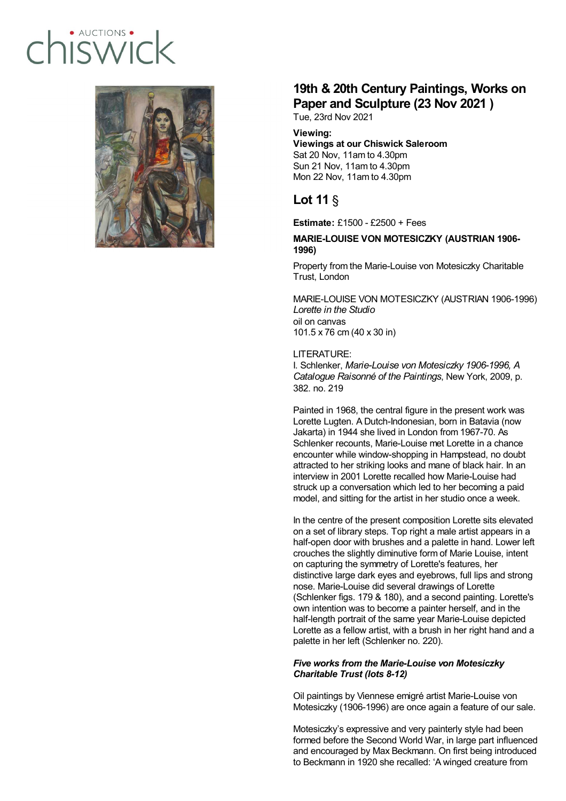# · AUCTIONS  $I(SMA/C)$



## **19th & 20th Century Paintings, Works on Paper and Sculpture (23 Nov 2021 )**

Tue, 23rd Nov 2021

### **Viewing:**

### **Viewings at our Chiswick Saleroom** Sat 20 Nov, 11am to 4.30pm Sun 21 Nov, 11am to 4.30pm Mon 22 Nov, 11am to 4.30pm

### **Lot 11** §

**Estimate:** £1500 - £2500 + Fees

### **MARIE-LOUISE VON MOTESICZKY (AUSTRIAN 1906- 1996)**

Property from the Marie-Louise von Motesiczky Charitable Trust, London

MARIE-LOUISE VON MOTESICZKY (AUSTRIAN 1906-1996) *Lorette in the Studio* oil on canvas 101.5 x 76 cm (40 x 30 in)

### LITERATURE:

I. Schlenker, *Marie-Louise von Motesiczky 1906-1996, A Catalogue Raisonné of the Paintings*, New York, 2009, p. 382. no. 219

Painted in 1968, the central figure in the present work was Lorette Lugten. A Dutch-Indonesian, born in Batavia (now Jakarta) in 1944 she lived in London from 1967-70. As Schlenker recounts, Marie-Louise met Lorette in a chance encounter while window-shopping in Hampstead, no doubt attracted to her striking looks and mane of black hair. In an interview in 2001 Lorette recalled how Marie-Louise had struck up a conversation which led to her becoming a paid model, and sitting for the artist in her studio once a week.

In the centre of the present composition Lorette sits elevated on a set of library steps. Top right a male artist appears in a half-open door with brushes and a palette in hand. Lower left crouches the slightly diminutive form of Marie Louise, intent on capturing the symmetry of Lorette's features, her distinctive large dark eyes and eyebrows, full lips and strong nose. Marie-Louise did several drawings of Lorette (Schlenker figs. 179 & 180), and a second painting. Lorette's own intention was to become a painter herself, and in the half-length portrait of the same year Marie-Louise depicted Lorette as a fellow artist, with a brush in her right hand and a palette in her left (Schlenker no. 220).

### *Five works from the Marie-Louise von Motesiczky Charitable Trust (lots 8-12)*

Oil paintings by Viennese emigré artist Marie-Louise von Motesiczky (1906-1996) are once again a feature of our sale.

Motesiczky's expressive and very painterly style had been formed before the Second World War, in large part influenced and encouraged by Max Beckmann. On first being introduced to Beckmann in 1920 she recalled: 'A winged creature from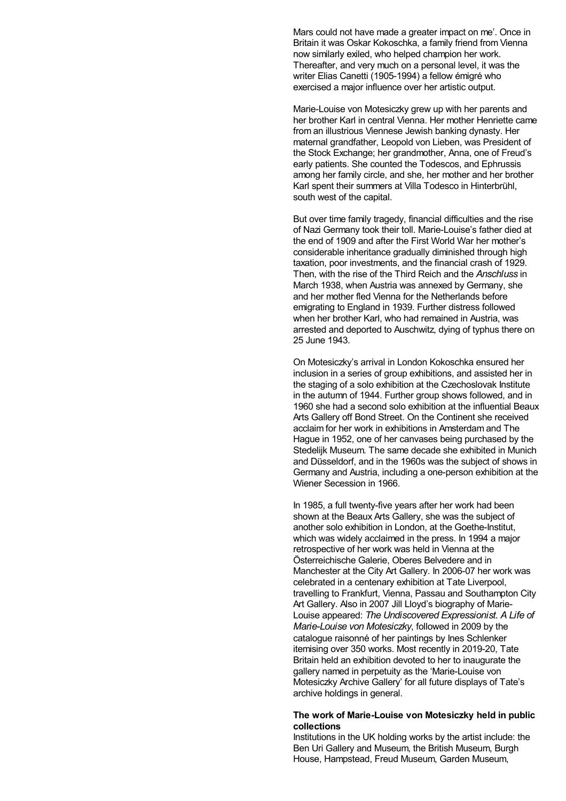Mars could not have made a greater impact on me'. Once in Britain it was Oskar Kokoschka, a family friend from Vienna now similarly exiled, who helped champion her work. Thereafter, and very much on a personal level, it was the writer Elias Canetti (1905-1994) a fellow émigré who exercised a major influence over her artistic output.

Marie-Louise von Motesiczky grew up with her parents and her brother Karl in central Vienna. Her mother Henriette came from an illustrious Viennese Jewish banking dynasty. Her maternal grandfather, Leopold von Lieben, was President of the Stock Exchange; her grandmother, Anna, one of Freud's early patients. She counted the Todescos, and Ephrussis among her family circle, and she, her mother and her brother Karl spent their summers at Villa Todesco in Hinterbrühl, south west of the capital.

But over time family tragedy, financial difficulties and the rise of Nazi Germany took their toll. Marie-Louise's father died at the end of 1909 and after the First World War her mother's considerable inheritance gradually diminished through high taxation, poor investments, and the financial crash of 1929. Then, with the rise of the Third Reich and the *Anschluss* in March 1938, when Austria was annexed by Germany, she and her mother fled Vienna for the Netherlands before emigrating to England in 1939. Further distress followed when her brother Karl, who had remained in Austria, was arrested and deported to Auschwitz, dying of typhus there on 25 June 1943.

On Motesiczky's arrival in London Kokoschka ensured her inclusion in a series of group exhibitions, and assisted her in the staging of a solo exhibition at the Czechoslovak Institute in the autumn of 1944. Further group shows followed, and in 1960 she had a second solo exhibition at the influential Beaux Arts Gallery off Bond Street. On the Continent she received acclaim for her work in exhibitions in Amsterdam and The Hague in 1952, one of her canvases being purchased by the Stedelijk Museum. The same decade she exhibited in Munich and Düsseldorf, and in the 1960s was the subject of shows in Germany and Austria, including a one-person exhibition at the Wiener Secession in 1966.

In 1985, a full twenty-five years after her work had been shown at the Beaux Arts Gallery, she was the subject of another solo exhibition in London, at the Goethe-Institut, which was widely acclaimed in the press. In 1994 a major retrospective of her work was held in Vienna at the Österreichische Galerie, Oberes Belvedere and in Manchester at the City Art Gallery. In 2006-07 her work was celebrated in a centenary exhibition at Tate Liverpool, travelling to Frankfurt, Vienna, Passau and Southampton City Art Gallery. Also in 2007 Jill Lloyd's biography of Marie-Louise appeared: *The Undiscovered Expressionist. A Life of Marie-Louise von Motesiczky*, followed in 2009 by the catalogue raisonné of her paintings by Ines Schlenker itemising over 350 works. Most recently in 2019-20, Tate Britain held an exhibition devoted to her to inaugurate the gallery named in perpetuity as the 'Marie-Louise von Motesiczky Archive Gallery' for all future displays of Tate's archive holdings in general.

#### **The work of Marie-Louise von Motesiczky held in public collections**

Institutions in the UK holding works by the artist include: the Ben Uri Gallery and Museum, the British Museum, Burgh House, Hampstead, Freud Museum, Garden Museum,